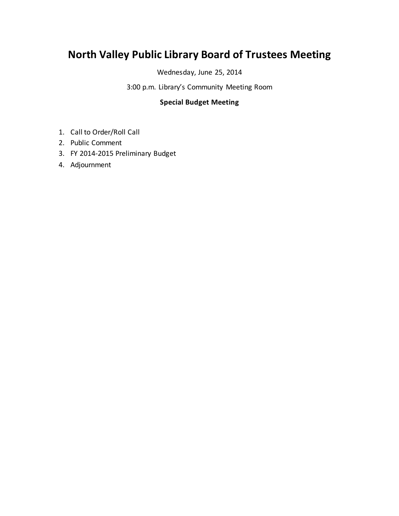## **North Valley Public Library Board of Trustees Meeting**

Wednesday, June 25, 2014

3:00 p.m. Library's Community Meeting Room

## **Special Budget Meeting**

- 1. Call to Order/Roll Call
- 2. Public Comment
- 3. FY 2014-2015 Preliminary Budget
- 4. Adjournment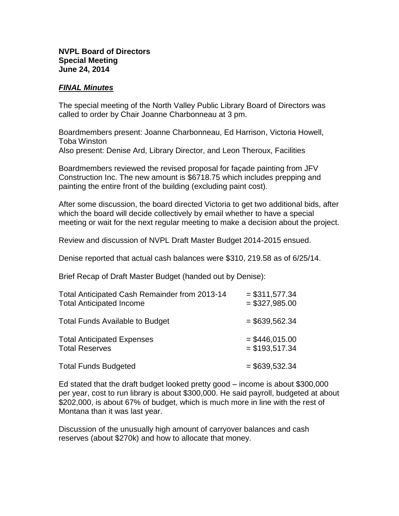## **NVPL Board of Directors Special Meeting June 24, 2014**

## *FINAL Minutes*

The special meeting of the North Valley Public Library Board of Directors was called to order by Chair Joanne Charbonneau at 3 pm.

Boardmembers present: Joanne Charbonneau, Ed Harrison, Victoria Howell, Toba Winston Also present: Denise Ard, Library Director, and Leon Theroux, Facilities

Boardmembers reviewed the revised proposal for façade painting from JFV Construction Inc. The new amount is \$6718.75 which includes prepping and painting the entire front of the building (excluding paint cost).

After some discussion, the board directed Victoria to get two additional bids, after which the board will decide collectively by email whether to have a special meeting or wait for the next regular meeting to make a decision about the project.

Review and discussion of NVPL Draft Master Budget 2014-2015 ensued.

Denise reported that actual cash balances were \$310, 219.58 as of 6/25/14.

Brief Recap of Draft Master Budget (handed out by Denise):

| Total Anticipated Cash Remainder from 2013-14 | $= $311,577.34$  |
|-----------------------------------------------|------------------|
| <b>Total Anticipated Income</b>               | $= $327,985.00$  |
| <b>Total Funds Available to Budget</b>        | $=$ \$639,562.34 |
| <b>Total Anticipated Expenses</b>             | $=$ \$446,015.00 |
| <b>Total Reserves</b>                         | $=$ \$193,517.34 |
| <b>Total Funds Budgeted</b>                   | $= $639,532.34$  |

Ed stated that the draft budget looked pretty good – income is about \$300,000 per year, cost to run library is about \$300,000. He said payroll, budgeted at about \$202,000, is about 67% of budget, which is much more in line with the rest of Montana than it was last year.

Discussion of the unusually high amount of carryover balances and cash reserves (about \$270k) and how to allocate that money.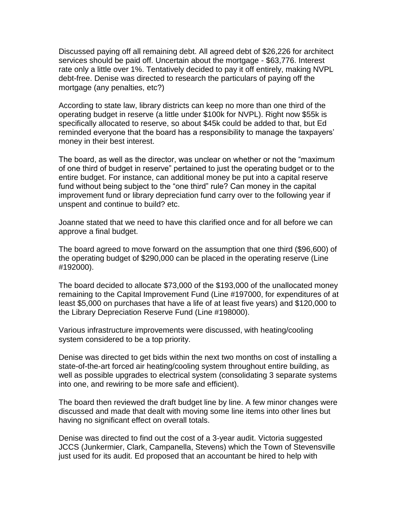Discussed paying off all remaining debt. All agreed debt of \$26,226 for architect services should be paid off. Uncertain about the mortgage - \$63,776. Interest rate only a little over 1%. Tentatively decided to pay it off entirely, making NVPL debt-free. Denise was directed to research the particulars of paying off the mortgage (any penalties, etc?)

According to state law, library districts can keep no more than one third of the operating budget in reserve (a little under \$100k for NVPL). Right now \$55k is specifically allocated to reserve, so about \$45k could be added to that, but Ed reminded everyone that the board has a responsibility to manage the taxpayers' money in their best interest.

The board, as well as the director, was unclear on whether or not the "maximum of one third of budget in reserve" pertained to just the operating budget or to the entire budget. For instance, can additional money be put into a capital reserve fund without being subject to the "one third" rule? Can money in the capital improvement fund or library depreciation fund carry over to the following year if unspent and continue to build? etc.

Joanne stated that we need to have this clarified once and for all before we can approve a final budget.

The board agreed to move forward on the assumption that one third (\$96,600) of the operating budget of \$290,000 can be placed in the operating reserve (Line #192000).

The board decided to allocate \$73,000 of the \$193,000 of the unallocated money remaining to the Capital Improvement Fund (Line #197000, for expenditures of at least \$5,000 on purchases that have a life of at least five years) and \$120,000 to the Library Depreciation Reserve Fund (Line #198000).

Various infrastructure improvements were discussed, with heating/cooling system considered to be a top priority.

Denise was directed to get bids within the next two months on cost of installing a state-of-the-art forced air heating/cooling system throughout entire building, as well as possible upgrades to electrical system (consolidating 3 separate systems into one, and rewiring to be more safe and efficient).

The board then reviewed the draft budget line by line. A few minor changes were discussed and made that dealt with moving some line items into other lines but having no significant effect on overall totals.

Denise was directed to find out the cost of a 3-year audit. Victoria suggested JCCS (Junkermier, Clark, Campanella, Stevens) which the Town of Stevensville just used for its audit. Ed proposed that an accountant be hired to help with